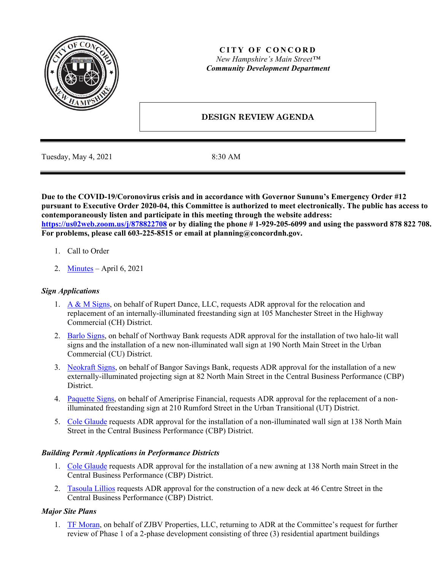

## **CITY OF CONCORD** *New Hampshire's Main Street™ Community Development Department*

# **DESIGN REVIEW AGENDA**

Tuesday, May 4, 2021 8:30 AM

**Due to the COVID-19/Coronovirus crisis and in accordance with Governor Sununu's Emergency Order #12 pursuant to Executive Order 2020-04, this Committee is authorized to meet electronically. The public has access to contemporaneously listen and participate in this meeting through the website address: <https://us02web.zoom.us/j/878822708> or by dialing the phone # 1-929-205-6099 and using the password 878 822 708. For problems, please call 603-225-8515 or email at planning@concordnh.gov.**

- 1. Call to Order
- 2. [Minutes](https://www.concordnh.gov/DocumentCenter/View/17106/04062021) April 6, 2021

## *Sign Applications*

- 1. [A & M Signs,](https://www.concordnh.gov/DocumentCenter/View/16952/105-Manchester-St-ADR) on behalf of Rupert Dance, LLC, requests ADR approval for the relocation and replacement of an internally-illuminated freestanding sign at 105 Manchester Street in the Highway Commercial (CH) District.
- 2. [Barlo Signs,](https://www.concordnh.gov/DocumentCenter/View/16974/190-N-Main-St---Northway-Bank---3-Building-Signs-for-ADR-plus-directional) on behalf of Northway Bank requests ADR approval for the installation of two halo-lit wall signs and the installation of a new non-illuminated wall sign at 190 North Main Street in the Urban Commercial (CU) District.
- 3. [Neokraft Signs,](https://www.concordnh.gov/DocumentCenter/View/17104/82-N-Main-St---Pastori-Krans---1-sign-for-ADR) on behalf of Bangor Savings Bank, requests ADR approval for the installation of a new externally-illuminated projecting sign at 82 North Main Street in the Central Business Performance (CBP) District.
- 4. [Paquette Signs,](https://www.concordnh.gov/DocumentCenter/View/17101/210-Rumford-St---Ameriprise---1-sign-for-ADR) on behalf of Ameriprise Financial, requests ADR approval for the replacement of a nonilluminated freestanding sign at 210 Rumford Street in the Urban Transitional (UT) District.
- 5. [Cole Glaude](https://www.concordnh.gov/DocumentCenter/View/17105/138-N-Main-St---Sundays---1-sign-for-ADR) requests ADR approval for the installation of a non-illuminated wall sign at 138 North Main Street in the Central Business Performance (CBP) District.

### *Building Permit Applications in Performance Districts*

- 1. [Cole Glaude](https://www.concordnh.gov/DocumentCenter/View/17105/138-N-Main-St---Sundays---1-sign-for-ADR) requests ADR approval for the installation of a new awning at 138 North main Street in the Central Business Performance (CBP) District.
- 2. [Tasoula](https://www.concordnh.gov/DocumentCenter/View/17102/46-Centre-St-Deck) Lillios requests ADR approval for the construction of a new deck at 46 Centre Street in the Central Business Performance (CBP) District.

### *Major Site Plans*

1. [TF Moran,](https://www.concordnh.gov/DocumentCenter/View/17103/70-Pembroke-Elevations) on behalf of ZJBV Properties, LLC, returning to ADR at the Committee's request for further review of Phase 1 of a 2-phase development consisting of three (3) residential apartment buildings